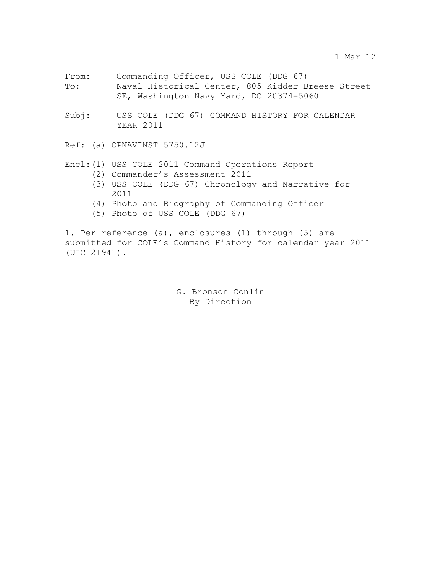- From: Commanding Officer, USS COLE (DDG 67) To: Naval Historical Center, 805 Kidder Breese Street SE, Washington Navy Yard, DC 20374-5060
- Subj: USS COLE (DDG 67) COMMAND HISTORY FOR CALENDAR YEAR 2011

Ref: (a) OPNAVINST 5750.12J

## Encl:(1) USS COLE 2011 Command Operations Report

- (2) Commander's Assessment 2011
- (3) USS COLE (DDG 67) Chronology and Narrative for 2011
- (4) Photo and Biography of Commanding Officer
- (5) Photo of USS COLE (DDG 67)

1. Per reference (a), enclosures (1) through (5) are submitted for COLE's Command History for calendar year 2011 (UIC 21941).

> G. Bronson Conlin By Direction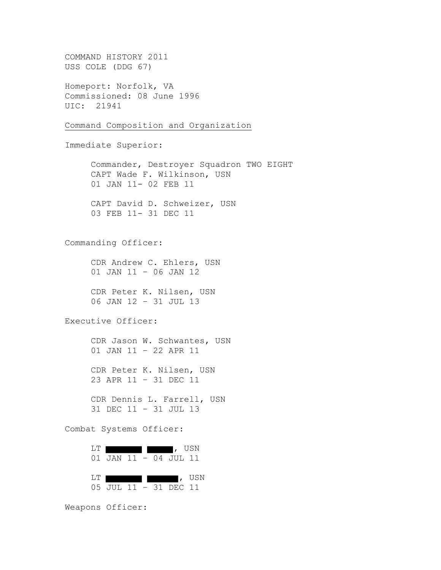COMMAND HISTORY 2011 USS COLE (DDG 67) Homeport: Norfolk, VA Commissioned: 08 June 1996 UIC: 21941 Command Composition and Organization Immediate Superior: Commander, Destroyer Squadron TWO EIGHT CAPT Wade F. Wilkinson, USN 01 JAN 11- 02 FEB 11 CAPT David D. Schweizer, USN 03 FEB 11- 31 DEC 11 Commanding Officer: CDR Andrew C. Ehlers, USN 01 JAN 11 – 06 JAN 12 CDR Peter K. Nilsen, USN 06 JAN 12 – 31 JUL 13 Executive Officer: CDR Jason W. Schwantes, USN 01 JAN 11 – 22 APR 11 CDR Peter K. Nilsen, USN 23 APR 11 – 31 DEC 11 CDR Dennis L. Farrell, USN 31 DEC 11 – 31 JUL 13 Combat Systems Officer: LT **discussed in the set of the set of the set of the set of the set of the set of the set of the set of the set of the set of the set of the set of the set of the set of the set of the set of the set of the set of the set** 01 JAN 11 – 04 JUL 11 LT , USN 05 JUL 11 – 31 DEC 11 Weapons Officer: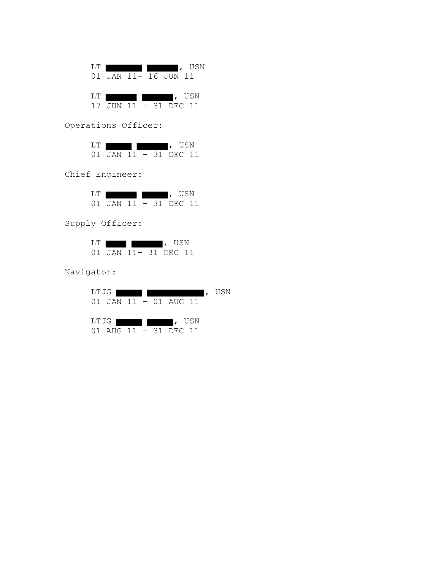LT **designed in the set of the set of the set of the set of the set of the set of the set of the set of the set of the set of the set of the set of the set of the set of the set of the set of the set of the set of the set** 01 JAN 11- 16 JUN 11 LT **designed in the set of the set of the set of the set of the set of the set of the set of the set of the set of the set of the set of the set of the set of the set of the set of the set of the set of the set of the set** 

17 JUN 11 – 31 DEC 11

Operations Officer:

| L.T |           |  |             | <b>IISN</b> |
|-----|-----------|--|-------------|-------------|
|     | 01 JAN 11 |  | – 31 DEC II |             |

Chief Engineer:

| 1.'I' |           |  |              | USN |
|-------|-----------|--|--------------|-----|
|       | 01 JAN 11 |  | $-31$ DEC 11 |     |

Supply Officer:

|  |  | USN                 |  |
|--|--|---------------------|--|
|  |  | 01 JAN 11-31 DEC 11 |  |

Navigator:

| LTJG 1                               | USN |
|--------------------------------------|-----|
| $01$ JAN $11 - 01$ AUG $11$          |     |
|                                      |     |
| LTJG I<br>$\sqrt{\phantom{a}}$ , usn |     |
| 01 AUG 11 - 31 DEC 11                |     |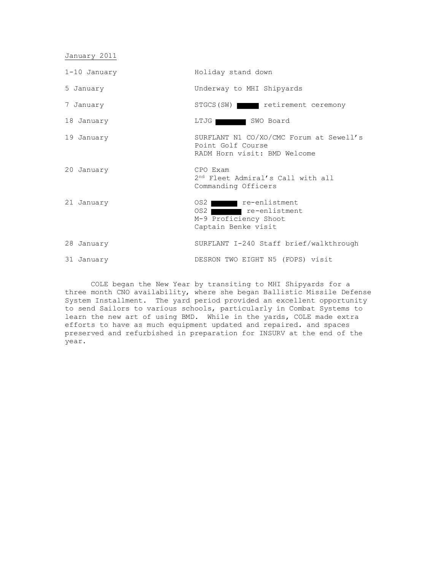January 2011

1-10 January Holiday stand down 5 January Underway to MHI Shipyards 7 January STGCS(SW) retirement ceremony 18 January **LTJG SWO Board** 19 January SURFLANT N1 CO/XO/CMC Forum at Sewell's Point Golf Course RADM Horn visit: BMD Welcome 20 January CPO Exam 2<sup>nd</sup> Fleet Admiral's Call with all Commanding Officers 21 January 682 **12 September 21 January** 21 January 682 **12 January 12 September 21 January 12 September 21 January 12 September 2016** OS2 re-enlistment M-9 Proficiency Shoot Captain Benke visit 28 January SURFLANT I-240 Staff brief/walkthrough 31 January DESRON TWO EIGHT N5 (FOPS) visit

COLE began the New Year by transiting to MHI Shipyards for a three month CNO availability, where she began Ballistic Missile Defense System Installment. The yard period provided an excellent opportunity to send Sailors to various schools, particularly in Combat Systems to learn the new art of using BMD. While in the yards, COLE made extra efforts to have as much equipment updated and repaired. and spaces preserved and refurbished in preparation for INSURV at the end of the year.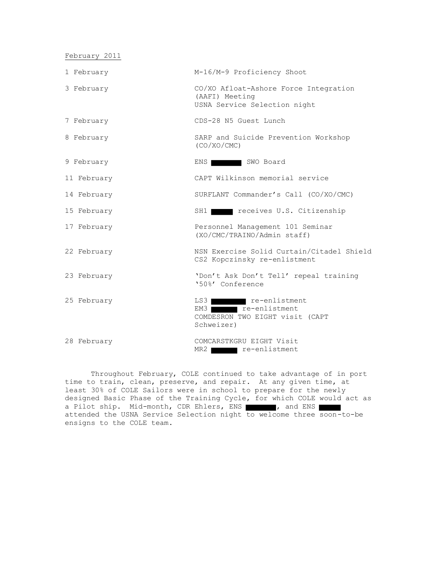February 2011

| 1 February  | M-16/M-9 Proficiency Shoot                                                              |
|-------------|-----------------------------------------------------------------------------------------|
| 3 February  | CO/XO Afloat-Ashore Force Integration<br>(AAFI) Meeting<br>USNA Service Selection night |
| 7 February  | CDS-28 N5 Guest Lunch                                                                   |
| 8 February  | SARP and Suicide Prevention Workshop<br>(CO/XO/CMC)                                     |
| 9 February  | SWO Board<br>ENS 1                                                                      |
| 11 February | CAPT Wilkinson memorial service                                                         |
| 14 February | SURFLANT Commander's Call (CO/XO/CMC)                                                   |
| 15 February | SH1 receives U.S. Citizenship                                                           |
| 17 February | Personnel Management 101 Seminar<br>(XO/CMC/TRAINO/Admin staff)                         |
| 22 February | NSN Exercise Solid Curtain/Citadel Shield<br>CS2 Kopczinsky re-enlistment               |
| 23 February | 'Don't Ask Don't Tell' repeal training<br>'50%' Conference                              |
| 25 February | LS3 re-enlistment<br>EM3 re-enlistment<br>COMDESRON TWO EIGHT visit (CAPT<br>Schweizer) |
| 28 February | COMCARSTKGRU EIGHT Visit<br>MR2 re-enlistment                                           |

Throughout February, COLE continued to take advantage of in port time to train, clean, preserve, and repair. At any given time, at least 30% of COLE Sailors were in school to prepare for the newly designed Basic Phase of the Training Cycle, for which COLE would act as a Pilot ship. Mid-month, CDR Ehlers, ENS , and ENS attended the USNA Service Selection night to welcome three soon-to-be ensigns to the COLE team.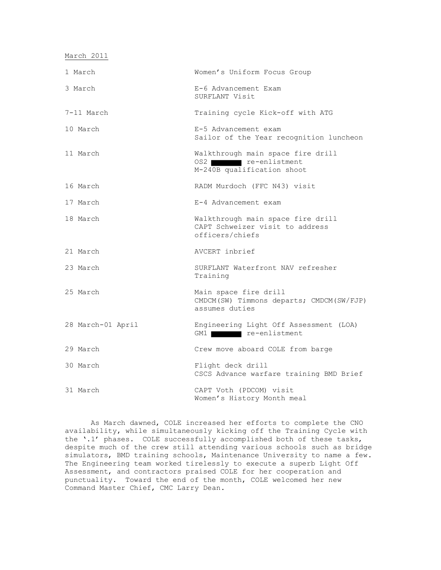March 2011

| 1 March           | Women's Uniform Focus Group                                                             |
|-------------------|-----------------------------------------------------------------------------------------|
| 3 March           | E-6 Advancement Exam<br>SURFLANT Visit                                                  |
| 7-11 March        | Training cycle Kick-off with ATG                                                        |
| 10 March          | E-5 Advancement exam<br>Sailor of the Year recognition luncheon                         |
| 11 March          | Walkthrough main space fire drill<br>OS2 re-enlistment<br>M-240B qualification shoot    |
| 16 March          | RADM Murdoch (FFC N43) visit                                                            |
| 17 March          | E-4 Advancement exam                                                                    |
| 18 March          | Walkthrough main space fire drill<br>CAPT Schweizer visit to address<br>officers/chiefs |
| 21 March          | AVCERT inbrief                                                                          |
| 23 March          | SURFLANT Waterfront NAV refresher<br>Training                                           |
| 25 March          | Main space fire drill<br>CMDCM(SW) Timmons departs; CMDCM(SW/FJP)<br>assumes duties     |
| 28 March-01 April | Engineering Light Off Assessment (LOA)<br>GM1 re-enlistment                             |
| 29 March          | Crew move aboard COLE from barge                                                        |
| 30 March          | Flight deck drill<br>CSCS Advance warfare training BMD Brief                            |
| 31 March          | CAPT Voth (PDCOM) visit<br>Women's History Month meal                                   |

As March dawned, COLE increased her efforts to complete the CNO availability, while simultaneously kicking off the Training Cycle with the '.1' phases. COLE successfully accomplished both of these tasks, despite much of the crew still attending various schools such as bridge simulators, BMD training schools, Maintenance University to name a few. The Engineering team worked tirelessly to execute a superb Light Off Assessment, and contractors praised COLE for her cooperation and punctuality. Toward the end of the month, COLE welcomed her new Command Master Chief, CMC Larry Dean.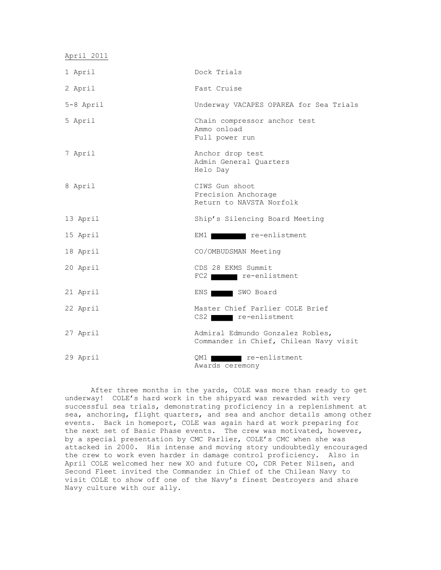| April 2011 |                                                                            |
|------------|----------------------------------------------------------------------------|
| 1 April    | Dock Trials                                                                |
| 2 April    | Fast Cruise                                                                |
| 5-8 April  | Underway VACAPES OPAREA for Sea Trials                                     |
| 5 April    | Chain compressor anchor test<br>Ammo onload<br>Full power run              |
| 7 April    | Anchor drop test<br>Admin General Quarters<br>Helo Day                     |
| 8 April    | CIWS Gun shoot<br>Precision Anchorage<br>Return to NAVSTA Norfolk          |
| 13 April   | Ship's Silencing Board Meeting                                             |
| 15 April   | re-enlistment<br>EM1 I                                                     |
| 18 April   | CO/OMBUDSMAN Meeting                                                       |
| 20 April   | CDS 28 EKMS Summit<br>FC2 re-enlistment                                    |
| 21 April   | SWO Board<br>ENS                                                           |
| 22 April   | Master Chief Parlier COLE Brief<br>CS2 re-enlistment                       |
| 27 April   | Admiral Edmundo Gonzalez Robles,<br>Commander in Chief, Chilean Navy visit |
| 29 April   | re-enlistment<br>QM1<br>Awards ceremony                                    |

After three months in the yards, COLE was more than ready to get underway! COLE's hard work in the shipyard was rewarded with very successful sea trials, demonstrating proficiency in a replenishment at sea, anchoring, flight quarters, and sea and anchor details among other events. Back in homeport, COLE was again hard at work preparing for the next set of Basic Phase events. The crew was motivated, however, by a special presentation by CMC Parlier, COLE's CMC when she was attacked in 2000. His intense and moving story undoubtedly encouraged the crew to work even harder in damage control proficiency. Also in April COLE welcomed her new XO and future CO, CDR Peter Nilsen, and Second Fleet invited the Commander in Chief of the Chilean Navy to visit COLE to show off one of the Navy's finest Destroyers and share Navy culture with our ally.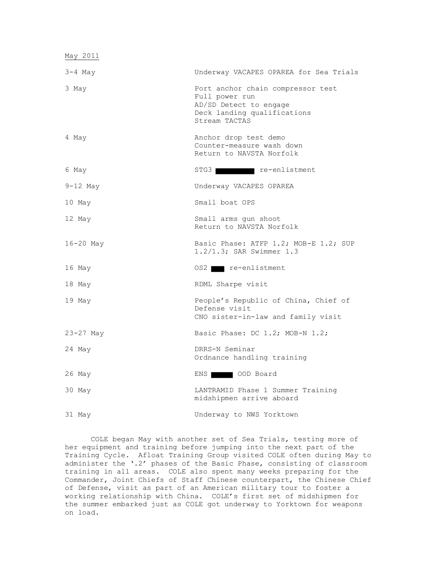| May 2011  |                                                                                                                               |
|-----------|-------------------------------------------------------------------------------------------------------------------------------|
| $3-4$ May | Underway VACAPES OPAREA for Sea Trials                                                                                        |
| 3 May     | Port anchor chain compressor test<br>Full power run<br>AD/SD Detect to engage<br>Deck landing qualifications<br>Stream TACTAS |
| 4 May     | Anchor drop test demo<br>Counter-measure wash down<br>Return to NAVSTA Norfolk                                                |
| 6 May     | STG3 re-enlistment                                                                                                            |
| 9-12 May  | Underway VACAPES OPAREA                                                                                                       |
| 10 May    | Small boat OPS                                                                                                                |
| 12 May    | Small arms gun shoot<br>Return to NAVSTA Norfolk                                                                              |
| 16-20 May | Basic Phase: ATFP 1.2; MOB-E 1.2; SUP<br>$1.2/1.3$ ; SAR Swimmer $1.3$                                                        |
| 16 May    | OS2 re-enlistment                                                                                                             |
| 18 May    | RDML Sharpe visit                                                                                                             |
| 19 May    | People's Republic of China, Chief of<br>Defense visit<br>CNO sister-in-law and family visit                                   |
| 23-27 May | Basic Phase: DC 1.2; MOB-N 1.2;                                                                                               |
| 24 May    | DRRS-N Seminar<br>Ordnance handling training                                                                                  |
| 26 May    | ENS OOD Board                                                                                                                 |
| 30 May    | LANTRAMID Phase 1 Summer Training<br>midshipmen arrive aboard                                                                 |
| 31 May    | Underway to NWS Yorktown                                                                                                      |

COLE began May with another set of Sea Trials, testing more of her equipment and training before jumping into the next part of the Training Cycle. Afloat Training Group visited COLE often during May to administer the '.2' phases of the Basic Phase, consisting of classroom training in all areas. COLE also spent many weeks preparing for the Commander, Joint Chiefs of Staff Chinese counterpart, the Chinese Chief of Defense, visit as part of an American military tour to foster a working relationship with China. COLE's first set of midshipmen for the summer embarked just as COLE got underway to Yorktown for weapons on load.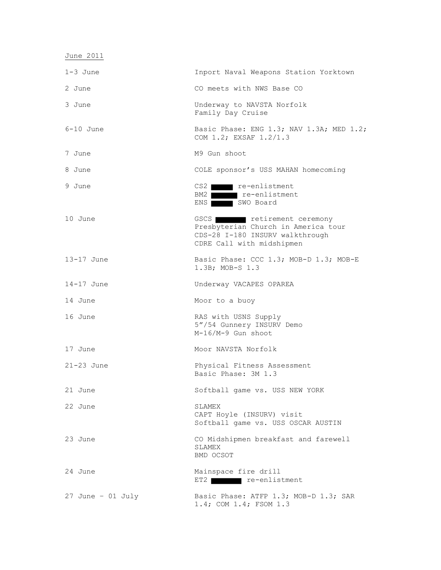| June 2011           |                                                                                                                                 |
|---------------------|---------------------------------------------------------------------------------------------------------------------------------|
| $1-3$ June          | Inport Naval Weapons Station Yorktown                                                                                           |
| 2 June              | CO meets with NWS Base CO                                                                                                       |
| 3 June              | Underway to NAVSTA Norfolk<br>Family Day Cruise                                                                                 |
| $6-10$ June         | Basic Phase: ENG 1.3; NAV 1.3A; MED 1.2;<br>COM 1.2; EXSAF 1.2/1.3                                                              |
| 7 June              | M9 Gun shoot                                                                                                                    |
| 8 June              | COLE sponsor's USS MAHAN homecoming                                                                                             |
| 9 June              | CS2 re-enlistment<br>BM2 re-enlistment<br>ENS SWO Board                                                                         |
| 10 June             | GSCS retirement ceremony<br>Presbyterian Church in America tour<br>CDS-28 I-180 INSURV walkthrough<br>CDRE Call with midshipmen |
| $13-17$ June        | Basic Phase: CCC 1.3; MOB-D 1.3; MOB-E<br>1.3B; MOB-S 1.3                                                                       |
| $14-17$ June        | Underway VACAPES OPAREA                                                                                                         |
| 14 June             | Moor to a buoy                                                                                                                  |
| 16 June             | RAS with USNS Supply<br>5"/54 Gunnery INSURV Demo<br>M-16/M-9 Gun shoot                                                         |
| 17 June             | Moor NAVSTA Norfolk                                                                                                             |
| $21 - 23$ June      | Physical Fitness Assessment<br>Basic Phase: 3M 1.3                                                                              |
| 21 June             | Softball game vs. USS NEW YORK                                                                                                  |
| 22 June             | SLAMEX<br>CAPT Hoyle (INSURV) visit<br>Softball game vs. USS OSCAR AUSTIN                                                       |
| 23 June             | CO Midshipmen breakfast and farewell<br>SLAMEX<br>BMD OCSOT                                                                     |
| 24 June             | Mainspace fire drill<br>ET2 re-enlistment                                                                                       |
| $27$ June - 01 July | Basic Phase: ATFP 1.3; MOB-D 1.3; SAR<br>1.4; COM 1.4; FSOM 1.3                                                                 |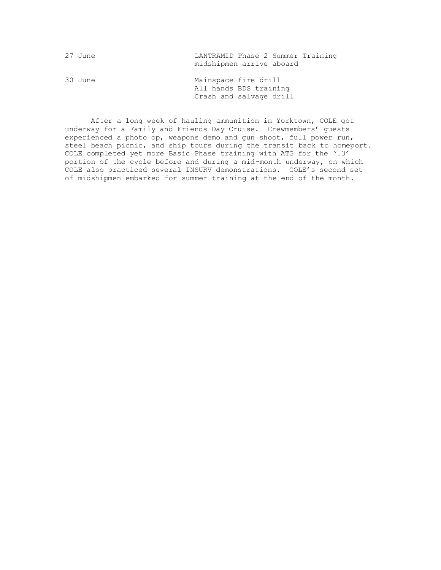| 27 June | LANTRAMID Phase 2 Summer Training<br>midshipmen arrive aboard             |
|---------|---------------------------------------------------------------------------|
| 30 June | Mainspace fire drill<br>All hands BDS training<br>Crash and salvage drill |

After a long week of hauling ammunition in Yorktown, COLE got underway for a Family and Friends Day Cruise. Crewmembers' guests experienced a photo op, weapons demo and gun shoot, full power run, steel beach picnic, and ship tours during the transit back to homeport. COLE completed yet more Basic Phase training with ATG for the '.3' portion of the cycle before and during a mid-month underway, on which COLE also practiced several INSURV demonstrations. COLE's second set of midshipmen embarked for summer training at the end of the month.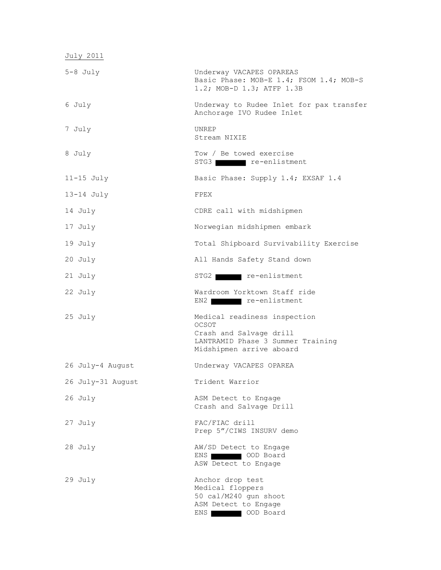| July 2011         |                                                                                                                                   |
|-------------------|-----------------------------------------------------------------------------------------------------------------------------------|
| $5-8$ July        | Underway VACAPES OPAREAS<br>Basic Phase: MOB-E 1.4; FSOM 1.4; MOB-S<br>1.2; MOB-D 1.3; ATFP 1.3B                                  |
| 6 July            | Underway to Rudee Inlet for pax transfer<br>Anchorage IVO Rudee Inlet                                                             |
| 7 July            | <b>UNREP</b><br>Stream NIXIE                                                                                                      |
| 8 July            | Tow / Be towed exercise<br>STG3 re-enlistment                                                                                     |
| $11-15$ July      | Basic Phase: Supply 1.4; EXSAF 1.4                                                                                                |
| $13-14$ July      | FPEX                                                                                                                              |
| 14 July           | CDRE call with midshipmen                                                                                                         |
| 17 July           | Norwegian midshipmen embark                                                                                                       |
| 19 July           | Total Shipboard Survivability Exercise                                                                                            |
| 20 July           | All Hands Safety Stand down                                                                                                       |
| 21 July           | STG2 re-enlistment                                                                                                                |
| 22 July           | Wardroom Yorktown Staff ride<br>re-enlistment<br>EN2                                                                              |
| 25 July           | Medical readiness inspection<br>OCSOT<br>Crash and Salvage drill<br>LANTRAMID Phase 3 Summer Training<br>Midshipmen arrive aboard |
| 26 July-4 August  | Underway VACAPES OPAREA                                                                                                           |
| 26 July-31 August | Trident Warrior                                                                                                                   |
| 26 July           | ASM Detect to Engage<br>Crash and Salvage Drill                                                                                   |
| 27 July           | FAC/FIAC drill<br>Prep 5"/CIWS INSURV demo                                                                                        |
| 28 July           | AW/SD Detect to Engage<br>ENS OOD Board<br>ASW Detect to Engage                                                                   |
| 29 July           | Anchor drop test<br>Medical floppers<br>50 cal/M240 gun shoot<br>ASM Detect to Engage                                             |

ENS OOD Board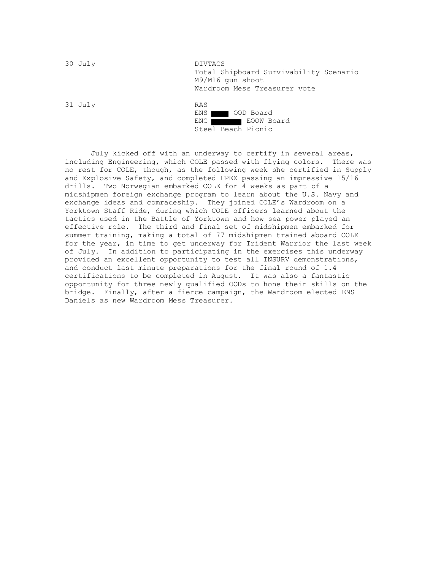| 30 July | DIVTACS                                                                                    |
|---------|--------------------------------------------------------------------------------------------|
|         | Total Shipboard Survivability Scenario<br>M9/M16 qun shoot<br>Wardroom Mess Treasurer vote |
| 31 July | <b>RAS</b>                                                                                 |
|         | $\sim$ 000 p = $\sim$ 1<br>T1170                                                           |

| $ENS$ $\blacksquare$ | OOD Board          |
|----------------------|--------------------|
| ENC 1                | EOOW Board         |
|                      | Steel Beach Picnic |

July kicked off with an underway to certify in several areas, including Engineering, which COLE passed with flying colors. There was no rest for COLE, though, as the following week she certified in Supply and Explosive Safety, and completed FPEX passing an impressive 15/16 drills. Two Norwegian embarked COLE for 4 weeks as part of a midshipmen foreign exchange program to learn about the U.S. Navy and exchange ideas and comradeship. They joined COLE's Wardroom on a Yorktown Staff Ride, during which COLE officers learned about the tactics used in the Battle of Yorktown and how sea power played an effective role. The third and final set of midshipmen embarked for summer training, making a total of 77 midshipmen trained aboard COLE for the year, in time to get underway for Trident Warrior the last week of July. In addition to participating in the exercises this underway provided an excellent opportunity to test all INSURV demonstrations, and conduct last minute preparations for the final round of 1.4 certifications to be completed in August. It was also a fantastic opportunity for three newly qualified OODs to hone their skills on the bridge. Finally, after a fierce campaign, the Wardroom elected ENS Daniels as new Wardroom Mess Treasurer.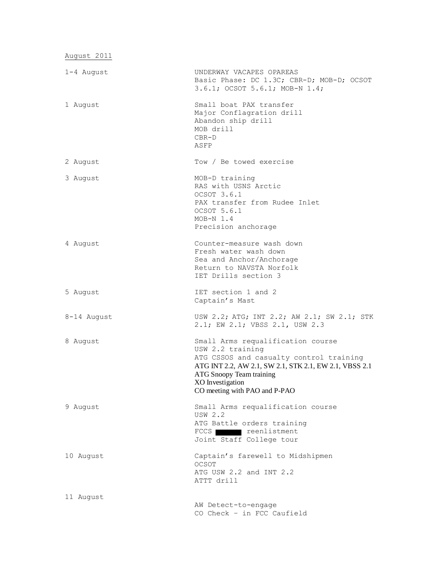August 2011

| 1-4 August  | UNDERWAY VACAPES OPAREAS<br>Basic Phase: DC 1.3C; CBR-D; MOB-D; OCSOT<br>3.6.1; OCSOT 5.6.1; MOB-N 1.4;                                                                                                                                     |
|-------------|---------------------------------------------------------------------------------------------------------------------------------------------------------------------------------------------------------------------------------------------|
| 1 August    | Small boat PAX transfer<br>Major Conflagration drill<br>Abandon ship drill<br>MOB drill<br>$CBR-D$<br>ASFP                                                                                                                                  |
| 2 August    | Tow / Be towed exercise                                                                                                                                                                                                                     |
| 3 August    | MOB-D training<br>RAS with USNS Arctic<br>OCSOT 3.6.1<br>PAX transfer from Rudee Inlet<br>OCSOT 5.6.1<br>$MOB-N$ 1.4<br>Precision anchorage                                                                                                 |
| 4 August    | Counter-measure wash down<br>Fresh water wash down<br>Sea and Anchor/Anchorage<br>Return to NAVSTA Norfolk<br>IET Drills section 3                                                                                                          |
| 5 August    | IET section 1 and 2<br>Captain's Mast                                                                                                                                                                                                       |
| 8-14 August | USW 2.2; ATG; INT 2.2; AW 2.1; SW 2.1; STK<br>2.1; EW 2.1; VBSS 2.1, USW 2.3                                                                                                                                                                |
| 8 August    | Small Arms requalification course<br>USW 2.2 training<br>ATG CSSOS and casualty control training<br>ATG INT 2.2, AW 2.1, SW 2.1, STK 2.1, EW 2.1, VBSS 2.1<br>ATG Snoopy Team training<br>XO Investigation<br>CO meeting with PAO and P-PAO |
| 9 August    | Small Arms requalification course<br><b>USW 2.2</b><br>ATG Battle orders training<br>FCCS reenlistment<br>Joint Staff College tour                                                                                                          |
| 10 August   | Captain's farewell to Midshipmen<br>OCSOT<br>ATG USW 2.2 and INT 2.2<br>ATTT drill                                                                                                                                                          |
| 11 August   | AW Detect-to-engage<br>CO Check - in FCC Caufield                                                                                                                                                                                           |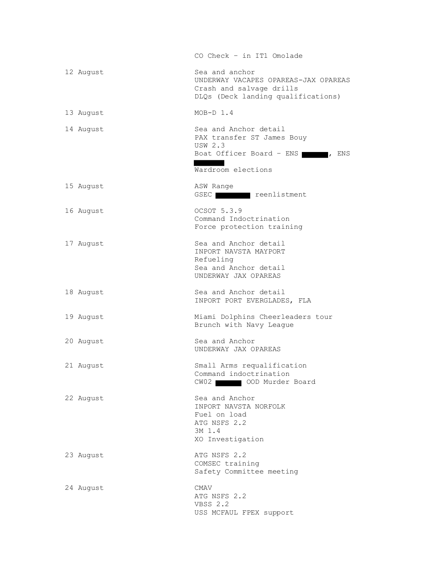|           | CO Check - in IT1 Omolade                                                                                                        |
|-----------|----------------------------------------------------------------------------------------------------------------------------------|
| 12 August | Sea and anchor<br>UNDERWAY VACAPES OPAREAS-JAX OPAREAS<br>Crash and salvage drills<br>DLQs (Deck landing qualifications)         |
| 13 August | $MOB-D 1.4$                                                                                                                      |
| 14 August | Sea and Anchor detail<br>PAX transfer ST James Bouy<br><b>USW 2.3</b><br>Boat Officer Board - ENS 77 , ENS<br>Wardroom elections |
| 15 August | ASW Range<br>GSEC reenlistment                                                                                                   |
| 16 August | OCSOT 5.3.9<br>Command Indoctrination<br>Force protection training                                                               |
| 17 August | Sea and Anchor detail<br>INPORT NAVSTA MAYPORT<br>Refueling<br>Sea and Anchor detail<br>UNDERWAY JAX OPAREAS                     |
| 18 August | Sea and Anchor detail<br>INPORT PORT EVERGLADES, FLA                                                                             |
| 19 August | Miami Dolphins Cheerleaders tour<br>Brunch with Navy League                                                                      |
| 20 August | Sea and Anchor<br>UNDERWAY JAX OPAREAS                                                                                           |
| 21 August | Small Arms requalification<br>Command indoctrination<br>CW02   00D Murder Board                                                  |
| 22 August | Sea and Anchor<br>INPORT NAVSTA NORFOLK<br>Fuel on load<br>ATG NSFS 2.2<br>3M 1.4<br>XO Investigation                            |
| 23 August | ATG NSFS 2.2<br>COMSEC training<br>Safety Committee meeting                                                                      |
| 24 August | CMAV<br>ATG NSFS 2.2<br>VBSS 2.2<br>USS MCFAUL FPEX support                                                                      |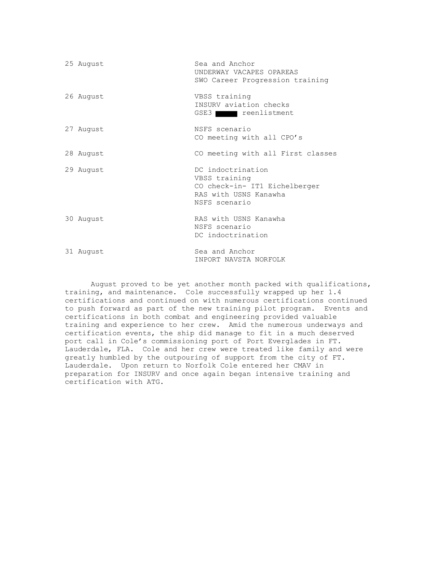| 25 August | Sea and Anchor<br>UNDERWAY VACAPES OPAREAS<br>SWO Career Progression training                                 |
|-----------|---------------------------------------------------------------------------------------------------------------|
| 26 August | VBSS training<br>INSURV aviation checks<br>GSE3 reenlistment                                                  |
| 27 August | NSFS scenario<br>CO meeting with all CPO's                                                                    |
| 28 August | CO meeting with all First classes                                                                             |
| 29 August | DC indoctrination<br>VBSS training<br>CO check-in- IT1 Eichelberger<br>RAS with USNS Kanawha<br>NSFS scenario |
| 30 August | RAS with USNS Kanawha<br>NSFS scenario<br>DC indoctrination                                                   |
| 31 August | Sea and Anchor<br>INPORT NAVSTA NORFOLK                                                                       |

August proved to be yet another month packed with qualifications, training, and maintenance. Cole successfully wrapped up her 1.4 certifications and continued on with numerous certifications continued to push forward as part of the new training pilot program. Events and certifications in both combat and engineering provided valuable training and experience to her crew. Amid the numerous underways and certification events, the ship did manage to fit in a much deserved port call in Cole's commissioning port of Port Everglades in FT. Lauderdale, FLA. Cole and her crew were treated like family and were greatly humbled by the outpouring of support from the city of FT. Lauderdale. Upon return to Norfolk Cole entered her CMAV in preparation for INSURV and once again began intensive training and certification with ATG.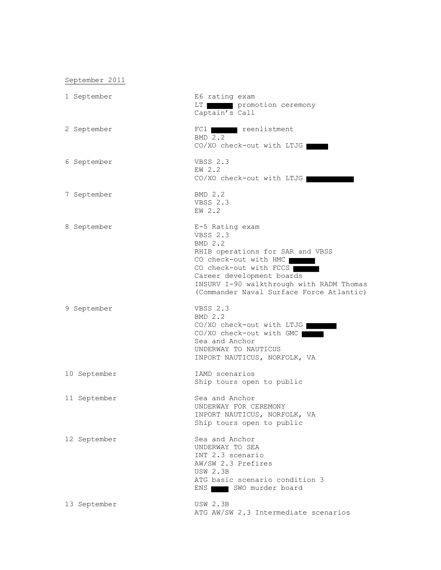## September 2011

| 1 September  | E6 rating exam<br>promotion ceremony<br>LT  <br>Captain's Call                                                                                                                                                                                     |
|--------------|----------------------------------------------------------------------------------------------------------------------------------------------------------------------------------------------------------------------------------------------------|
| 2 September  | FC1 reenlistment<br><b>BMD 2.2</b><br>CO/XO check-out with LTJG                                                                                                                                                                                    |
| 6 September  | VBSS 2.3<br>EW 2.2<br>CO/XO check-out with LTJG                                                                                                                                                                                                    |
| 7 September  | $BMD$ 2.2<br><b>VBSS 2.3</b><br>EW 2.2                                                                                                                                                                                                             |
| 8 September  | E-5 Rating exam<br>VBSS 2.3<br>BMD 2.2<br>RHIB operations for SAR and VBSS<br>CO check-out with HMC<br>CO check-out with FCCS<br>Career development boards<br>INSURV I-90 walkthrough with RADM Thomas<br>(Commander Naval Surface Force Atlantic) |
| 9 September  | VBSS 2.3<br>BMD 2.2<br>CO/XO check-out with LTJG<br>CO/XO check-out with GMC<br>Sea and Anchor<br>UNDERWAY TO NAUTICUS<br>INPORT NAUTICUS, NORFOLK, VA                                                                                             |
| 10 September | IAMD scenarios<br>Ship tours open to public                                                                                                                                                                                                        |
| 11 September | Sea and Anchor<br>UNDERWAY FOR CEREMONY<br>INPORT NAUTICUS, NORFOLK, VA<br>Ship tours open to public                                                                                                                                               |
| 12 September | Sea and Anchor<br>UNDERWAY TO SEA<br>INT 2.3 scenario<br>AW/SW 2.3 Prefires<br><b>USW 2.3B</b><br>ATG basic scenario condition 3<br>ENS SWO murder board                                                                                           |
| 13 September | <b>USW 2.3B</b><br>ATG AW/SW 2.3 Intermediate scenarios                                                                                                                                                                                            |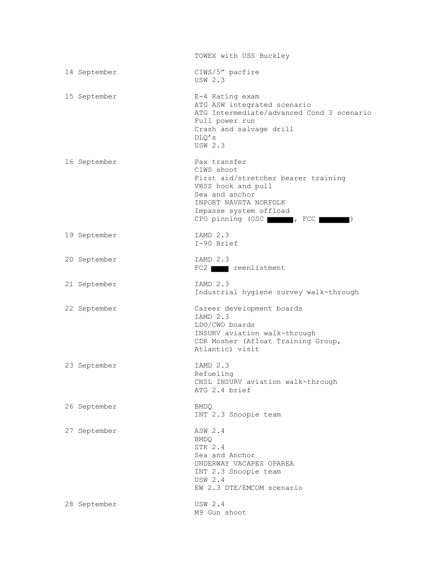|              | TOWEX with USS Buckley                                                                                                                                              |
|--------------|---------------------------------------------------------------------------------------------------------------------------------------------------------------------|
| 14 September | CIWS/5" pacfire<br>IISW 2.3                                                                                                                                         |
| 15 September | E-4 Rating exam<br>ATG ASW integrated scenario<br>ATG Intermediate/advanced Cond 3 scenario<br>Full power run<br>Crash and salvage drill<br>DLO's<br><b>USW 2.3</b> |
| 16 September | Pax transfer<br>CIWS shoot<br>First aid/stretcher bearer training<br>VBSS hook and pull<br>Sea and anchor<br>INPORT NAVSTA NORFOLK<br>Impasse system offload        |
| 19 September | IAMD 2.3<br>I-90 Brief                                                                                                                                              |
| 20 September | IAMD 2.3<br>FC2 reenlistment                                                                                                                                        |
| 21 September | IAMD 2.3<br>Industrial hygiene survey walk-through                                                                                                                  |
| 22 September | Career development boards<br>IAMD 2.3<br>LDO/CWO boards<br>INSURV aviation walk-through<br>CDR Mosher (Afloat Training Group,<br>Atlantic) visit                    |
| 23 September | IAMD 2.3<br>Refueling<br>CNSL INSURV aviation walk-through<br>ATG 2.4 brief                                                                                         |
| 26 September | <b>BMDQ</b><br>INT 2.3 Snoopie team                                                                                                                                 |
| 27 September | ASW 2.4<br><b>BMDQ</b><br>STK 2.4<br>Sea and Anchor<br>UNDERWAY VACAPES OPAREA<br>INT 2.3 Snoopie team<br>USW 2.4<br>EW 2.3 DTE/EMCOM scenario                      |
| 28 September | <b>USW 2.4</b><br>M9 Gun shoot                                                                                                                                      |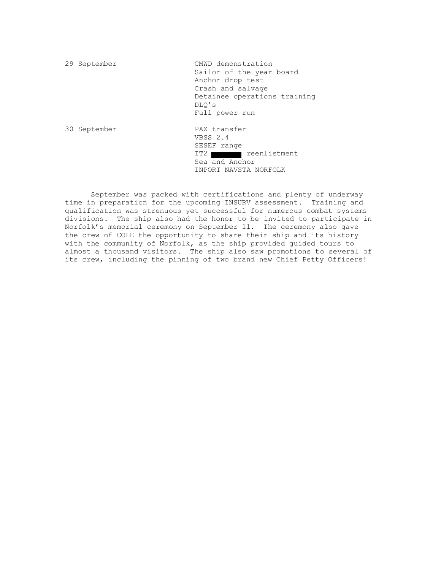29 September CMWD demonstration Sailor of the year board Anchor drop test Crash and salvage Detainee operations training DLQ's Full power run 30 September PAX transfer VBSS 2.4 SESEF range IT2 reenlistment Sea and Anchor INPORT NAVSTA NORFOLK

September was packed with certifications and plenty of underway time in preparation for the upcoming INSURV assessment. Training and qualification was strenuous yet successful for numerous combat systems divisions. The ship also had the honor to be invited to participate in Norfolk's memorial ceremony on September 11. The ceremony also gave the crew of COLE the opportunity to share their ship and its history with the community of Norfolk, as the ship provided guided tours to almost a thousand visitors. The ship also saw promotions to several of its crew, including the pinning of two brand new Chief Petty Officers!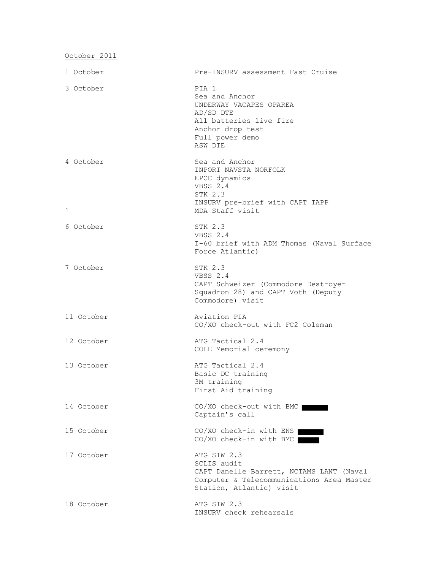October 2011

| 1 October  | Pre-INSURV assessment Fast Cruise                                                                                                               |
|------------|-------------------------------------------------------------------------------------------------------------------------------------------------|
| 3 October  | PIA 1<br>Sea and Anchor<br>UNDERWAY VACAPES OPAREA<br>AD/SD DTE<br>All batteries live fire<br>Anchor drop test<br>Full power demo<br>ASW DTE    |
| 4 October  | Sea and Anchor<br>INPORT NAVSTA NORFOLK<br>EPCC dynamics<br>VBSS 2.4<br>STK 2.3<br>INSURV pre-brief with CAPT TAPP<br>MDA Staff visit           |
| 6 October  | STK 2.3<br>VBSS 2.4<br>I-60 brief with ADM Thomas (Naval Surface<br>Force Atlantic)                                                             |
| 7 October  | STK 2.3<br>VBSS 2.4<br>CAPT Schweizer (Commodore Destroyer<br>Squadron 28) and CAPT Voth (Deputy<br>Commodore) visit                            |
| 11 October | Aviation PIA<br>CO/XO check-out with FC2 Coleman                                                                                                |
| 12 October | ATG Tactical 2.4<br>COLE Memorial ceremony                                                                                                      |
| 13 October | ATG Tactical 2.4<br>Basic DC training<br>3M training<br>First Aid training                                                                      |
| 14 October | CO/XO check-out with BMC<br>Captain's call                                                                                                      |
| 15 October | CO/XO check-in with ENS<br>CO/XO check-in with BMC                                                                                              |
| 17 October | ATG STW 2.3<br>SCLIS audit<br>CAPT Danelle Barrett, NCTAMS LANT (Naval<br>Computer & Telecommunications Area Master<br>Station, Atlantic) visit |
| 18 October | ATG STW 2.3<br>INSURV check rehearsals                                                                                                          |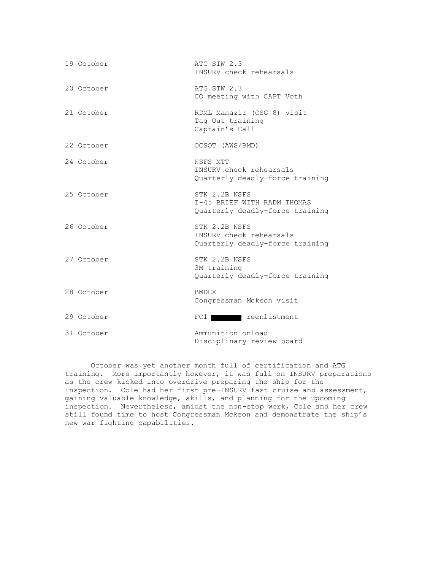| 19 October | ATG STW 2.3<br>INSURV check rehearsals                                          |
|------------|---------------------------------------------------------------------------------|
| 20 October | ATG STW 2.3<br>CO meeting with CAPT Voth                                        |
| 21 October | RDML Manazir (CSG 8) visit<br>Tag Out training<br>Captain's Call                |
| 22 October | OCSOT (AWS/BMD)                                                                 |
| 24 October | NSFS MTT<br>INSURV check rehearsals<br>Quarterly deadly-force training          |
| 25 October | STK 2.2B NSFS<br>I-45 BRIEF WITH RADM THOMAS<br>Quarterly deadly-force training |
| 26 October | STK 2.2B NSFS<br>INSURV check rehearsals<br>Quarterly deadly-force training     |
| 27 October | STK 2.2B NSFS<br>3M training<br>Quarterly deadly-force training                 |
| 28 October | <b>BMDEX</b><br>Congressman Mckeon visit                                        |
| 29 October | reenlistment<br>$FC1$                                                           |
| 31 October | Ammunition onload<br>Disciplinary review board                                  |

October was yet another month full of certification and ATG training. More importantly however, it was full on INSURV preparations as the crew kicked into overdrive preparing the ship for the inspection. Cole had her first pre-INSURV fast cruise and assessment, gaining valuable knowledge, skills, and planning for the upcoming inspection. Nevertheless, amidst the non-stop work, Cole and her crew still found time to host Congressman Mckeon and demonstrate the ship's new war fighting capabilities.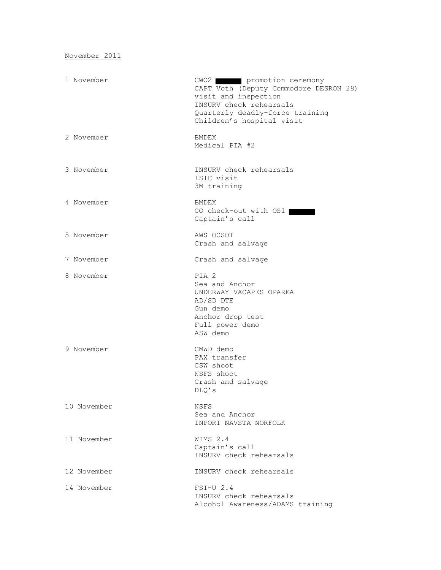November 2011

| 1 November  | CWO2 promotion ceremony<br>CAPT Voth (Deputy Commodore DESRON 28)<br>visit and inspection<br>INSURV check rehearsals<br>Quarterly deadly-force training<br>Children's hospital visit |
|-------------|--------------------------------------------------------------------------------------------------------------------------------------------------------------------------------------|
| 2 November  | <b>BMDEX</b><br>Medical PIA #2                                                                                                                                                       |
| 3 November  | INSURV check rehearsals<br>ISIC visit<br>3M training                                                                                                                                 |
| 4 November  | <b>BMDEX</b><br>CO check-out with OS1<br>Captain's call                                                                                                                              |
| 5 November  | AWS OCSOT<br>Crash and salvage                                                                                                                                                       |
| 7 November  | Crash and salvage                                                                                                                                                                    |
| 8 November  | PIA 2<br>Sea and Anchor<br>UNDERWAY VACAPES OPAREA<br>AD/SD DTE<br>Gun demo<br>Anchor drop test<br>Full power demo<br>ASW demo                                                       |
| 9 November  | CMWD demo<br>PAX transfer<br>CSW shoot<br>NSFS shoot<br>Crash and salvage<br>DLO' s                                                                                                  |
| 10 November | NSFS<br>Sea and Anchor<br>INPORT NAVSTA NORFOLK                                                                                                                                      |
| 11 November | WIMS 2.4<br>Captain's call<br>INSURV check rehearsals                                                                                                                                |
| 12 November | INSURV check rehearsals                                                                                                                                                              |
| 14 November | $FST-U$ 2.4<br>INSURV check rehearsals<br>Alcohol Awareness/ADAMS training                                                                                                           |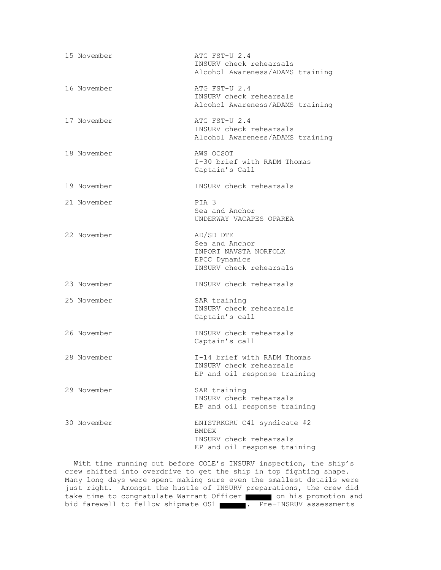| 15 November | ATG FST-U 2.4<br>INSURV check rehearsals<br>Alcohol Awareness/ADAMS training                           |
|-------------|--------------------------------------------------------------------------------------------------------|
| 16 November | ATG FST-U 2.4<br>INSURV check rehearsals<br>Alcohol Awareness/ADAMS training                           |
| 17 November | ATG FST-U 2.4<br>INSURV check rehearsals<br>Alcohol Awareness/ADAMS training                           |
| 18 November | AWS OCSOT<br>I-30 brief with RADM Thomas<br>Captain's Call                                             |
| 19 November | INSURV check rehearsals                                                                                |
| 21 November | PIA <sub>3</sub><br>Sea and Anchor<br>UNDERWAY VACAPES OPAREA                                          |
| 22 November | AD/SD DTE<br>Sea and Anchor<br>INPORT NAVSTA NORFOLK<br>EPCC Dynamics<br>INSURV check rehearsals       |
| 23 November | INSURV check rehearsals                                                                                |
| 25 November | SAR training<br>INSURV check rehearsals<br>Captain's call                                              |
| 26 November | INSURV check rehearsals<br>Captain's call                                                              |
| 28 November | I-14 brief with RADM Thomas<br>INSURV check rehearsals<br>EP and oil response training                 |
| 29 November | SAR training<br>INSURV check rehearsals<br>EP and oil response training                                |
| 30 November | ENTSTRKGRU C41 syndicate #2<br><b>BMDEX</b><br>INSURV check rehearsals<br>EP and oil response training |

 With time running out before COLE's INSURV inspection, the ship's crew shifted into overdrive to get the ship in top fighting shape. Many long days were spent making sure even the smallest details were just right. Amongst the hustle of INSURV preparations, the crew did take time to congratulate Warrant Officer on his promotion and bid farewell to fellow shipmate OS1 . Pre-INSRUV assessments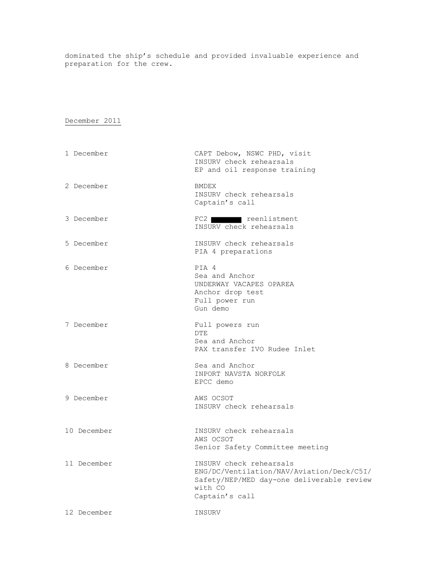dominated the ship's schedule and provided invaluable experience and preparation for the crew.

## December 2011

| 1 December  | CAPT Debow, NSWC PHD, visit<br>INSURV check rehearsals<br>EP and oil response training                                                         |
|-------------|------------------------------------------------------------------------------------------------------------------------------------------------|
| 2 December  | BMDEX<br>INSURV check rehearsals<br>Captain's call                                                                                             |
| 3 December  | FC2 reenlistment<br>INSURV check rehearsals                                                                                                    |
| 5 December  | INSURV check rehearsals<br>PIA 4 preparations                                                                                                  |
| 6 December  | PIA 4<br>Sea and Anchor<br>UNDERWAY VACAPES OPAREA<br>Anchor drop test<br>Full power run<br>Gun demo                                           |
| 7 December  | Full powers run<br><b>DTE</b><br>Sea and Anchor<br>PAX transfer IVO Rudee Inlet                                                                |
| 8 December  | Sea and Anchor<br>INPORT NAVSTA NORFOLK<br>EPCC demo                                                                                           |
| 9 December  | AWS OCSOT<br>INSURV check rehearsals                                                                                                           |
| 10 December | INSURV check rehearsals<br>AWS OCSOT<br>Senior Safety Committee meeting                                                                        |
| 11 December | INSURV check rehearsals<br>ENG/DC/Ventilation/NAV/Aviation/Deck/C5I/<br>Safety/NEP/MED day-one deliverable review<br>with CO<br>Captain's call |
| 12 December | INSURV                                                                                                                                         |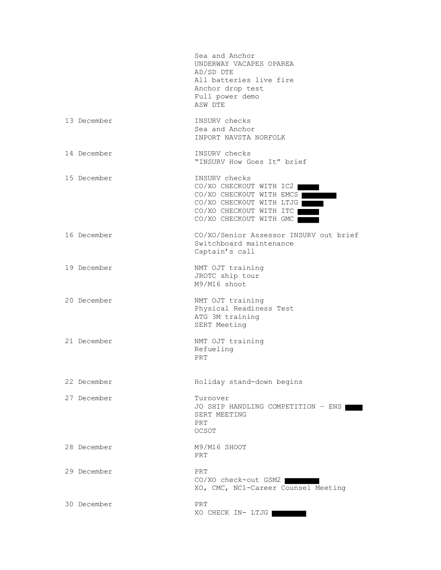|             | Sea and Anchor<br>UNDERWAY VACAPES OPAREA<br>AD/SD DTE<br>All batteries live fire<br>Anchor drop test<br>Full power demo<br>ASW DTE                    |
|-------------|--------------------------------------------------------------------------------------------------------------------------------------------------------|
| 13 December | INSURV checks<br>Sea and Anchor<br>INPORT NAVSTA NORFOLK                                                                                               |
| 14 December | INSURV checks<br>"INSURV How Goes It" brief                                                                                                            |
| 15 December | INSURV checks<br>CO/XO CHECKOUT WITH IC2<br>CO/XO CHECKOUT WITH EMCS<br>CO/XO CHECKOUT WITH LTJG<br>CO/XO CHECKOUT WITH ITC<br>CO/XO CHECKOUT WITH GMC |
| 16 December | CO/XO/Senior Assessor INSURV out brief<br>Switchboard maintenance<br>Captain's call                                                                    |
| 19 December | NMT OJT training<br>JROTC ship tour<br>M9/M16 shoot                                                                                                    |
| 20 December | NMT OJT training<br>Physical Readiness Test<br>ATG 3M training<br>SERT Meeting                                                                         |
| 21 December | NMT OJT training<br>Refueling<br>PRT                                                                                                                   |
| 22 December | Holiday stand-down begins                                                                                                                              |
| 27 December | Turnover<br>JO SHIP HANDLING COMPETITION - ENS<br>SERT MEETING<br>PRT<br>OCSOT                                                                         |
| 28 December | M9/M16 SHOOT<br>PRT                                                                                                                                    |
| 29 December | PRT<br>CO/XO check-out GSM2<br>XO, CMC, NC1-Career Counsel Meeting                                                                                     |
| 30 December | PRT<br>XO CHECK IN- LTJG                                                                                                                               |